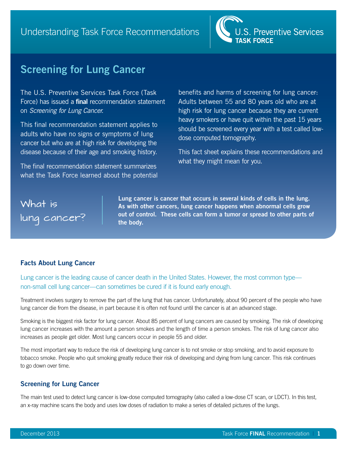

# **Screening for Lung Cancer**

The U.S. Preventive Services Task Force (Task Force) has issued a **final** recommendation statement on *Screening for Lung Cancer*.

This final recommendation statement applies to adults who have no signs or symptoms of lung cancer but who are at high risk for developing the disease because of their age and smoking history.

The final recommendation statement summarizes what the Task Force learned about the potential benefits and harms of screening for lung cancer: Adults between 55 and 80 years old who are at high risk for lung cancer because they are current heavy smokers or have quit within the past 15 years should be screened every year with a test called lowdose computed tomography.

This fact sheet explains these recommendations and what they might mean for you.

# What is lung cancer?

**Lung cancer is cancer that occurs in several kinds of cells in the lung. As with other cancers, lung cancer happens when abnormal cells grow out of control. These cells can form a tumor or spread to other parts of the body.**

# **Facts About Lung Cancer**

Lung cancer is the leading cause of cancer death in the United States. However, the most common type non-small cell lung cancer—can sometimes be cured if it is found early enough.

Treatment involves surgery to remove the part of the lung that has cancer. Unfortunately, about 90 percent of the people who have lung cancer die from the disease, in part because it is often not found until the cancer is at an advanced stage.

Smoking is the biggest risk factor for lung cancer. About 85 percent of lung cancers are caused by smoking. The risk of developing lung cancer increases with the amount a person smokes and the length of time a person smokes. The risk of lung cancer also increases as people get older. Most lung cancers occur in people 55 and older.

The most important way to reduce the risk of developing lung cancer is to not smoke or stop smoking, and to avoid exposure to tobacco smoke. People who quit smoking greatly reduce their risk of developing and dying from lung cancer. This risk continues to go down over time.

# **Screening for Lung Cancer**

The main test used to detect lung cancer is low-dose computed tomography (also called a low-dose CT scan, or LDCT). In this test, an x-ray machine scans the body and uses low doses of radiation to make a series of detailed pictures of the lungs.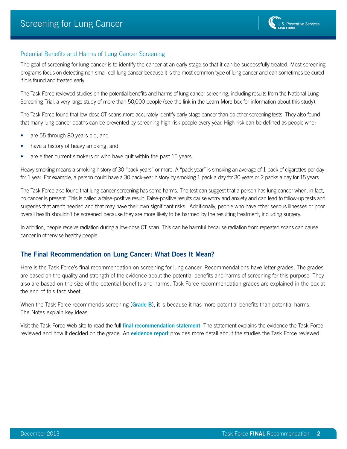#### Potential Benefits and Harms of Lung Cancer Screening

The goal of screening for lung cancer is to identify the cancer at an early stage so that it can be successfully treated. Most screening programs focus on detecting non-small cell lung cancer because it is the most common type of lung cancer and can sometimes be cured if it is found and treated early.

The Task Force reviewed studies on the potential benefits and harms of lung cancer screening, including results from the National Lung Screening Trial, a very large study of more than 50,000 people (see the link in the Learn More box for information about this study).

The Task Force found that low-dose CT scans more accurately identify early stage cancer than do other screening tests. They also found that many lung cancer deaths can be prevented by screening high-risk people every year. High-risk can be defined as people who:

- are 55 through 80 years old, and
- have a history of heavy smoking, and
- are either current smokers or who have quit within the past 15 years.

Heavy smoking means a smoking history of 30 "pack years" or more. A "pack year" is smoking an average of 1 pack of cigarettes per day for 1 year. For example, a person could have a 30 pack-year history by smoking 1 pack a day for 30 years or 2 packs a day for 15 years.

The Task Force also found that lung cancer screening has some harms. The test can suggest that a person has lung cancer when, in fact, no cancer is present. This is called a false-positive result. False-positive results cause worry and anxiety and can lead to follow-up tests and surgeries that aren't needed and that may have their own significant risks. Additionally, people who have other serious illnesses or poor overall health shouldn't be screened because they are more likely to be harmed by the resulting treatment, including surgery.

In addition, people receive radiation during a low-dose CT scan. This can be harmful because radiation from repeated scans can cause cancer in otherwise healthy people.

#### **The Final Recommendation on Lung Cancer: What Does It Mean?**

Here is the Task Force's final recommendation on screening for lung cancer. Recommendations have letter grades. The grades are based on the quality and strength of the evidence about the potential benefits and harms of screening for this purpose. They also are based on the size of the potential benefits and harms. Task Force recommendation grades are explained in the box at the end of this fact sheet.

When the Task Force recommends screening (**Grade B**), it is because it has more potential benefits than potential harms. The Notes explain key ideas.

Visit the Task Force Web site to read the full **[final recommendation statement](http://www.uspreventiveservicestaskforce.org/uspstf/uspslung.htm)**. The statement explains the evidence the Task Force reviewed and how it decided on the grade. An **[evidence report](http://www.uspreventiveservicestaskforce.org/3rduspstf/lungcancer/lungsum.htm)** provides more detail about the studies the Task Force reviewed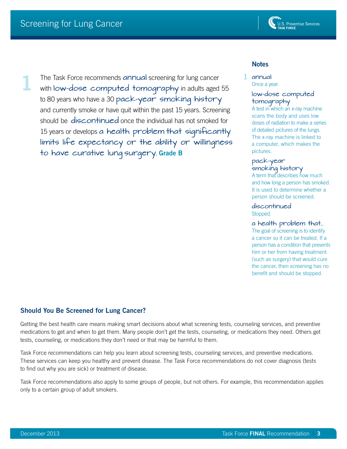

**1**

The Task Force recommends annual screening for lung cancer with low-dose computed tomography in adults aged 55 to 80 years who have a 30 pack-year smoking history and currently smoke or have quit within the past 15 years. Screening should be discontinued once the individual has not smoked for 15 years or develops a health problem that significantly limits life expectancy or the ability or willingness to have curative lung surgery. **Grade B**

#### **Notes**

annual **1** Once a year.

#### low-dose computed tomography

A test in which an x-ray machine scans the body and uses low doses of radiation to make a series of detailed pictures of the lungs. The x-ray machine is linked to a computer, which makes the pictures.

#### pack-year smoking history

A term that describes how much and how long a person has smoked. It is used to determine whether a person should be screened.

discontinued Stopped.

#### a health problem that…

The goal of screening is to identify a cancer so it can be treated. If a person has a condition that prevents him or her from having treatment (such as surgery) that would cure the cancer, then screening has no benefit and should be stopped.

# **Should You Be Screened for Lung Cancer?**

Getting the best health care means making smart decisions about what screening tests, counseling services, and preventive medications to get and when to get them. Many people don't get the tests, counseling, or medications they need. Others get tests, counseling, or medications they don't need or that may be harmful to them.

Task Force recommendations can help you learn about screening tests, counseling services, and preventive medications. These services can keep you healthy and prevent disease. The Task Force recommendations do not cover diagnosis (tests to find out why you are sick) or treatment of disease.

Task Force recommendations also apply to some groups of people, but not others. For example, this recommendation applies only to a certain group of adult smokers.